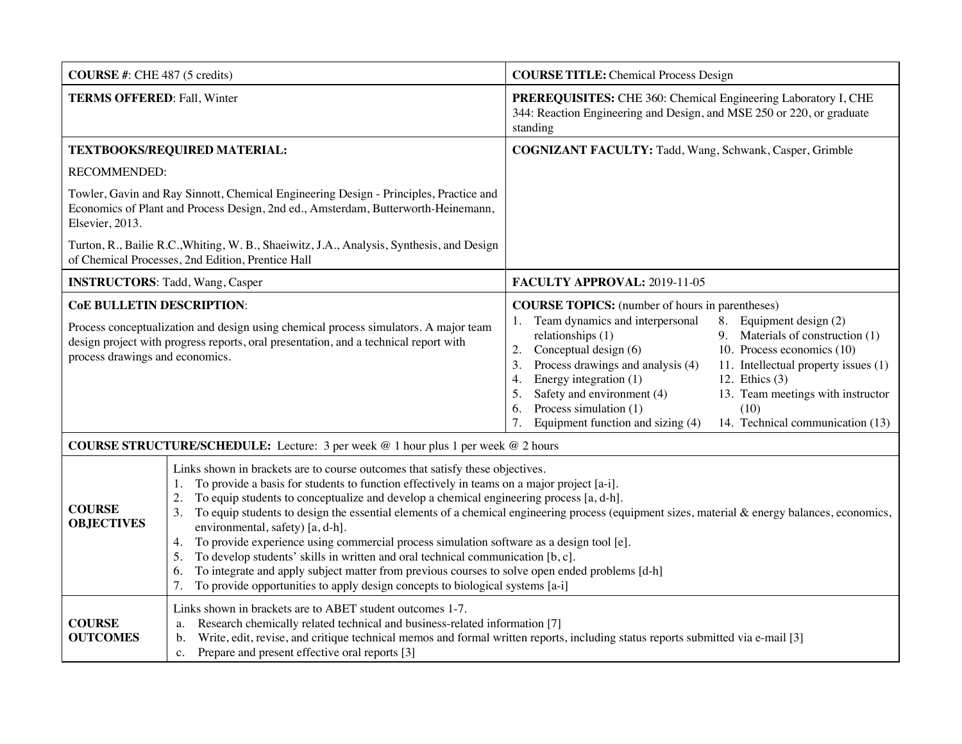| <b>COURSE</b> #: CHE 487 (5 credits)                                                                                                                                                                                                                |                                                                                                                                                                                                                                                                                                                                                                                                                                                                                                                                                                                                                                                                                                                                                                                                                                                                         | <b>COURSE TITLE:</b> Chemical Process Design                                                                                                                                                                                                                                                                                                                                                                                                                                                                                                                                      |  |  |
|-----------------------------------------------------------------------------------------------------------------------------------------------------------------------------------------------------------------------------------------------------|-------------------------------------------------------------------------------------------------------------------------------------------------------------------------------------------------------------------------------------------------------------------------------------------------------------------------------------------------------------------------------------------------------------------------------------------------------------------------------------------------------------------------------------------------------------------------------------------------------------------------------------------------------------------------------------------------------------------------------------------------------------------------------------------------------------------------------------------------------------------------|-----------------------------------------------------------------------------------------------------------------------------------------------------------------------------------------------------------------------------------------------------------------------------------------------------------------------------------------------------------------------------------------------------------------------------------------------------------------------------------------------------------------------------------------------------------------------------------|--|--|
| <b>TERMS OFFERED: Fall, Winter</b>                                                                                                                                                                                                                  |                                                                                                                                                                                                                                                                                                                                                                                                                                                                                                                                                                                                                                                                                                                                                                                                                                                                         | PREREQUISITES: CHE 360: Chemical Engineering Laboratory I, CHE<br>344: Reaction Engineering and Design, and MSE 250 or 220, or graduate<br>standing                                                                                                                                                                                                                                                                                                                                                                                                                               |  |  |
| TEXTBOOKS/REQUIRED MATERIAL:                                                                                                                                                                                                                        |                                                                                                                                                                                                                                                                                                                                                                                                                                                                                                                                                                                                                                                                                                                                                                                                                                                                         | COGNIZANT FACULTY: Tadd, Wang, Schwank, Casper, Grimble                                                                                                                                                                                                                                                                                                                                                                                                                                                                                                                           |  |  |
| <b>RECOMMENDED:</b>                                                                                                                                                                                                                                 |                                                                                                                                                                                                                                                                                                                                                                                                                                                                                                                                                                                                                                                                                                                                                                                                                                                                         |                                                                                                                                                                                                                                                                                                                                                                                                                                                                                                                                                                                   |  |  |
| Towler, Gavin and Ray Sinnott, Chemical Engineering Design - Principles, Practice and<br>Economics of Plant and Process Design, 2nd ed., Amsterdam, Butterworth-Heinemann,<br>Elsevier, 2013.                                                       |                                                                                                                                                                                                                                                                                                                                                                                                                                                                                                                                                                                                                                                                                                                                                                                                                                                                         |                                                                                                                                                                                                                                                                                                                                                                                                                                                                                                                                                                                   |  |  |
|                                                                                                                                                                                                                                                     | Turton, R., Bailie R.C., Whiting, W. B., Shaeiwitz, J.A., Analysis, Synthesis, and Design<br>of Chemical Processes, 2nd Edition, Prentice Hall                                                                                                                                                                                                                                                                                                                                                                                                                                                                                                                                                                                                                                                                                                                          |                                                                                                                                                                                                                                                                                                                                                                                                                                                                                                                                                                                   |  |  |
| <b>INSTRUCTORS:</b> Tadd, Wang, Casper                                                                                                                                                                                                              |                                                                                                                                                                                                                                                                                                                                                                                                                                                                                                                                                                                                                                                                                                                                                                                                                                                                         | FACULTY APPROVAL: 2019-11-05                                                                                                                                                                                                                                                                                                                                                                                                                                                                                                                                                      |  |  |
| <b>CoE BULLETIN DESCRIPTION:</b><br>Process conceptualization and design using chemical process simulators. A major team<br>design project with progress reports, oral presentation, and a technical report with<br>process drawings and economics. |                                                                                                                                                                                                                                                                                                                                                                                                                                                                                                                                                                                                                                                                                                                                                                                                                                                                         | <b>COURSE TOPICS:</b> (number of hours in parentheses)<br>Team dynamics and interpersonal<br>8. Equipment design (2)<br>relationships (1)<br>9. Materials of construction (1)<br>Conceptual design (6)<br>10. Process economics (10)<br>2.<br>Process drawings and analysis (4)<br>11. Intellectual property issues (1)<br>3.<br>Energy integration (1)<br>12. Ethics $(3)$<br>4.<br>Safety and environment (4)<br>13. Team meetings with instructor<br>5.<br>Process simulation (1)<br>(10)<br>6.<br>Equipment function and sizing (4)<br>14. Technical communication (13)<br>7. |  |  |
| <b>COURSE STRUCTURE/SCHEDULE:</b> Lecture: 3 per week @ 1 hour plus 1 per week @ 2 hours                                                                                                                                                            |                                                                                                                                                                                                                                                                                                                                                                                                                                                                                                                                                                                                                                                                                                                                                                                                                                                                         |                                                                                                                                                                                                                                                                                                                                                                                                                                                                                                                                                                                   |  |  |
| <b>COURSE</b><br><b>OBJECTIVES</b>                                                                                                                                                                                                                  | Links shown in brackets are to course outcomes that satisfy these objectives.<br>To provide a basis for students to function effectively in teams on a major project [a-i].<br>1.<br>To equip students to conceptualize and develop a chemical engineering process [a, d-h].<br>2.<br>To equip students to design the essential elements of a chemical engineering process (equipment sizes, material & energy balances, economics,<br>3.<br>environmental, safety) [a, d-h].<br>To provide experience using commercial process simulation software as a design tool [e].<br>4.<br>To develop students' skills in written and oral technical communication [b, c].<br>5.<br>To integrate and apply subject matter from previous courses to solve open ended problems [d-h]<br>6.<br>To provide opportunities to apply design concepts to biological systems [a-i]<br>7. |                                                                                                                                                                                                                                                                                                                                                                                                                                                                                                                                                                                   |  |  |
| <b>COURSE</b><br><b>OUTCOMES</b>                                                                                                                                                                                                                    | Links shown in brackets are to ABET student outcomes 1-7.<br>Research chemically related technical and business-related information [7]<br>a.<br>Write, edit, revise, and critique technical memos and formal written reports, including status reports submitted via e-mail [3]<br>b.<br>Prepare and present effective oral reports [3]<br>$\mathbf{c}$ .                                                                                                                                                                                                                                                                                                                                                                                                                                                                                                              |                                                                                                                                                                                                                                                                                                                                                                                                                                                                                                                                                                                   |  |  |